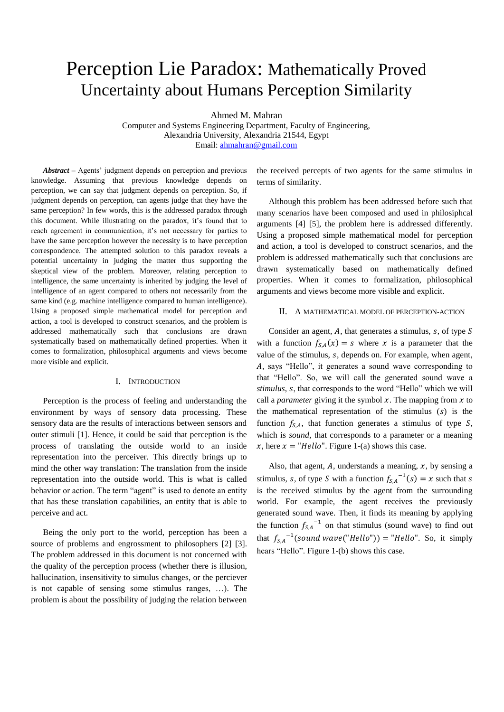# Perception Lie Paradox: Mathematically Proved Uncertainty about Humans Perception Similarity

Ahmed M. Mahran

Computer and Systems Engineering Department, Faculty of Engineering, Alexandria University, Alexandria 21544, Egypt Email: [ahmahran@gmail.com](mailto:ahmahran@gmail.com)

*Abstract ‒* Agents' judgment depends on perception and previous knowledge. Assuming that previous knowledge depends on perception, we can say that judgment depends on perception. So, if judgment depends on perception, can agents judge that they have the same perception? In few words, this is the addressed paradox through this document. While illustrating on the paradox, it's found that to reach agreement in communication, it's not necessary for parties to have the same perception however the necessity is to have perception correspondence. The attempted solution to this paradox reveals a potential uncertainty in judging the matter thus supporting the skeptical view of the problem. Moreover, relating perception to intelligence, the same uncertainty is inherited by judging the level of intelligence of an agent compared to others not necessarily from the same kind (e.g. machine intelligence compared to human intelligence). Using a proposed simple mathematical model for perception and action, a tool is developed to construct scenarios, and the problem is addressed mathematically such that conclusions are drawn systematically based on mathematically defined properties. When it comes to formalization, philosophical arguments and views become more visible and explicit.

#### I. INTRODUCTION

Perception is the process of feeling and understanding the environment by ways of sensory data processing. These sensory data are the results of interactions between sensors and outer stimuli [1]. Hence, it could be said that perception is the process of translating the outside world to an inside representation into the perceiver. This directly brings up to mind the other way translation: The translation from the inside representation into the outside world. This is what is called behavior or action. The term "agent" is used to denote an entity that has these translation capabilities, an entity that is able to perceive and act.

Being the only port to the world, perception has been a source of problems and engrossment to philosophers [2] [3]. The problem addressed in this document is not concerned with the quality of the perception process (whether there is illusion, hallucination, insensitivity to simulus changes, or the perciever is not capable of sensing some stimulus ranges, …). The problem is about the possibility of judging the relation between

the received percepts of two agents for the same stimulus in terms of similarity.

Although this problem has been addressed before such that many scenarios have been composed and used in philosiphcal arguments [4] [5], the problem here is addressed differently. Using a proposed simple mathematical model for perception and action, a tool is developed to construct scenarios, and the problem is addressed mathematically such that conclusions are drawn systematically based on mathematically defined properties. When it comes to formalization, philosophical arguments and views become more visible and explicit.

#### II. A MATHEMATICAL MODEL OF PERCEPTION-ACTION

Consider an agent, A, that generates a stimulus,  $s$ , of type S with a function  $f_{S,A}(x) = s$  where x is a parameter that the value of the stimulus,  $s$ , depends on. For example, when agent, , says "Hello", it generates a sound wave corresponding to that "Hello". So, we will call the generated sound wave a *stimulus*, *s*, that corresponds to the word "Hello" which we will call a *parameter* giving it the symbol  $x$ . The mapping from  $x$  to the mathematical representation of the stimulus  $(s)$  is the function  $f_{S,A}$ , that function generates a stimulus of type  $S$ , which is *sound*, that corresponds to a parameter or a meaning x, here  $x = "Hello".$  [Figure 1-](#page-1-0)(a) shows this case.

Also, that agent,  $A$ , understands a meaning,  $x$ , by sensing a stimulus, s, of type S with a function  $f_{S,A}^{-1}(s) = x$  such that is the received stimulus by the agent from the surrounding world. For example, the agent receives the previously generated sound wave. Then, it finds its meaning by applying the function  $f_{S,A}^{-1}$  on that stimulus (sound wave) to find out that  $f_{SA}^{-1}$ (sound wave("Hello")) = "Hello". So, it simply hears "Hello". [Figure 1-](#page-1-0)(b) shows this case.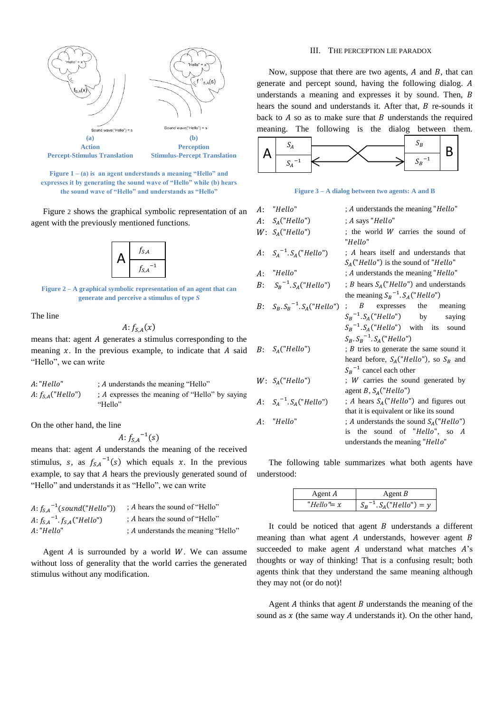

<span id="page-1-0"></span>**Figure 1 – (a) is an agent understands a meaning "Hello" and expresses it by generating the sound wave of "Hello" while (b) hears the sound wave of "Hello" and understands as "Hello"**

[Figure](#page-1-1) 2 shows the graphical symbolic representation of an agent with the previously mentioned functions.



<span id="page-1-1"></span>**Figure 2 – A graphical symbolic representation of an agent that can generate and perceive a stimulus of type** *S*

The line

$$
A: f_{S,A}(x)
$$

means that: agent  $A$  generates a stimulus corresponding to the meaning  $x$ . In the previous example, to indicate that A said "Hello", we can write

| A: "Hello"            | : A understands the meaning "Hello"            |
|-----------------------|------------------------------------------------|
| A: $f_{S,A}("Hello")$ | : A expresses the meaning of "Hello" by saying |
|                       | "Hello"                                        |

On the other hand, the line

 $A: f_{S,A}^{-1}(s)$ 

means that: agent  $A$  understands the meaning of the received stimulus, s, as  $f_{S,A}^{-1}(s)$  which equals x. In the previous example, to say that A hears the previously generated sound of "Hello" and understands it as "Hello", we can write

| A: $f_{SA}^{-1}(sound("Hello"))$      | : A hears the sound of "Hello"      |
|---------------------------------------|-------------------------------------|
| A: $f_{S,A}^{-1}$ $f_{S,A}$ ("Hello") | : A hears the sound of "Hello"      |
| A: "Hello"                            | : A understands the meaning "Hello" |

Agent  $A$  is surrounded by a world  $W$ . We can assume without loss of generality that the world carries the generated stimulus without any modification.

## III. THE PERCEPTION LIE PARADOX

Now, suppose that there are two agents,  $A$  and  $B$ , that can generate and percept sound, having the following dialog. understands a meaning and expresses it by sound. Then, B hears the sound and understands it. After that,  $B$  re-sounds it back to  $A$  so as to make sure that  $B$  understands the required meaning. The following is the dialog between them.



**Figure 3 – A dialog between two agents: A and B**

| A: "Hello"                       | ; A understands the meaning "Hello"                                                                                                                          |
|----------------------------------|--------------------------------------------------------------------------------------------------------------------------------------------------------------|
| $A: S_A("Hello")$                | ; A says "Hello"                                                                                                                                             |
| $W: S_A("Hello")$                | ; the world W carries the sound of<br>"Hello"                                                                                                                |
| A: $S_A^{-1}.S_A("Hello")$       | ; A hears itself and understands that<br>$S_A("Hello")$ is the sound of "Hello"                                                                              |
| A: "Hello"                       | ; A understands the meaning "Hello"                                                                                                                          |
| $B: S_B^{-1}.S_A("Hello")$       | ; <i>B</i> hears $S_A("Hello")$ and understands<br>the meaning $S_R^{-1}$ . $S_A("Hello")$                                                                   |
| $B: S_R. S_R^{-1}. S_A("Hello")$ | $B$ expresses the meaning<br>$S_R^{-1}.S_A("Hello")$ by<br>saying<br>$S_B^{-1} S_A("Hello")$ with its sound<br>$S_R$ , $S_R$ <sup>-1</sup> , $S_A$ ("Hello") |
| $B: S_A("Hello")$                | ; <i>B</i> tries to generate the same sound it<br>heard before, $S_A("Hello")$ , so $S_B$ and<br>$S_R^{-1}$ cancel each other                                |
| $W: S_A("Hello")$                | ; W carries the sound generated by<br>agent B, $S_A("Hello")$                                                                                                |
| $A: S_A^{-1}.S_A("Hello")$       | ; A hears $S_A("Hello")$ and figures out<br>that it is equivalent or like its sound                                                                          |
| A: "Hello"                       | ; A understands the sound $S_A("Hello")$<br>is the sound of "Hello", so A<br>understands the meaning "Hello"                                                 |

The following table summarizes what both agents have understood:

| Agent A      | Agent $B$                   |
|--------------|-----------------------------|
| "Hello" $=x$ | $S_B^{-1} S_A("Hello") = y$ |

It could be noticed that agent  $B$  understands a different meaning than what agent  $A$  understands, however agent  $B$ succeeded to make agent  $A$  understand what matches  $A$ 's thoughts or way of thinking! That is a confusing result; both agents think that they understand the same meaning although they may not (or do not)!

Agent  $A$  thinks that agent  $B$  understands the meaning of the sound as  $x$  (the same way A understands it). On the other hand,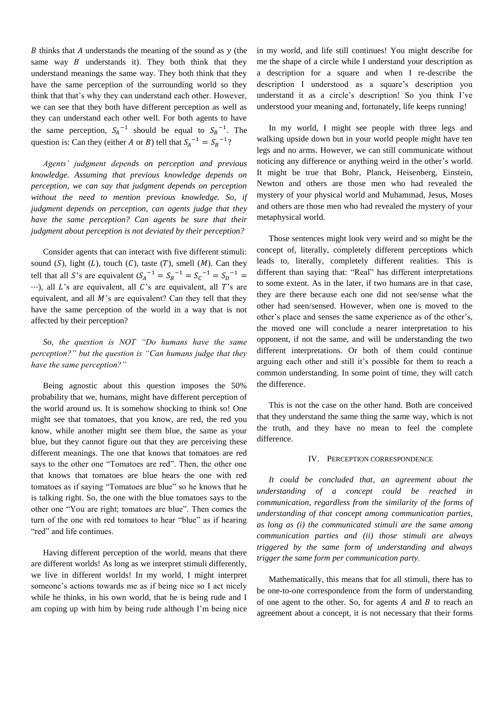B thinks that A understands the meaning of the sound as  $y$  (the same way  $B$  understands it). They both think that they understand meanings the same way. They both think that they have the same perception of the surrounding world so they think that that's why they can understand each other. However, we can see that they both have different perception as well as they can understand each other well. For both agents to have the same perception,  $S_A^{-1}$  should be equal to  $S_B^{-1}$ . The question is: Can they (either A or B) tell that  $S_A^{-1} = S_B^{-1}$ ?

Agents' judgment depends on perception and previous *knowledge. Assuming that previous knowledge depends on perception, we can say that judgment depends on perception without the need to mention previous knowledge. So, if judgment depends on perception, can agents judge that they have the same perception? Can agents be sure that their judgment about perception is not deviated by their perception?*

Consider agents that can interact with five different stimuli: sound  $(S)$ , light  $(L)$ , touch  $(C)$ , taste  $(T)$ , smell  $(M)$ . Can they tell that all S's are equivalent  $(S_A^{-1} = S_B^{-1} = S_C^{-1} = S_D^{-1})$  $\cdots$ ), all L's are equivalent, all C's are equivalent, all T's are equivalent, and all  $M$ 's are equivalent? Can they tell that they have the same perception of the world in a way that is not affected by their perception?

So, the question is NOT "Do humans have the same *perception?" but the question is "Can humans judge that they have the same perception?*"

Being agnostic about this question imposes the 50% probability that we, humans, might have different perception of the world around us. It is somehow shocking to think so! One might see that tomatoes, that you know, are red, the red you know, while another might see them blue, the same as your blue, but they cannot figure out that they are perceiving these different meanings. The one that knows that tomatoes are red says to the other one "Tomatoes are red". Then, the other one that knows that tomatoes are blue hears the one with red tomatoes as if saying "Tomatoes are blue" so he knows that he is talking right. So, the one with the blue tomatoes says to the other one "You are right; tomatoes are blue". Then comes the turn of the one with red tomatoes to hear "blue" as if hearing "red" and life continues.

Having different perception of the world, means that there are different worlds! As long as we interpret stimuli differently, we live in different worlds! In my world, I might interpret someone's actions towards me as if being nice so I act nicely while he thinks, in his own world, that he is being rude and I am coping up with him by being rude although I'm being nice in my world, and life still continues! You might describe for me the shape of a circle while I understand your description as a description for a square and when I re-describe the description I understood as a square's description you understand it as a circle's description! So you think I've understood your meaning and, fortunately, life keeps running!

In my world, I might see people with three legs and walking upside down but in your world people might have ten legs and no arms. However, we can still communicate without noticing any difference or anything weird in the other's world. It might be true that Bohr, Planck, Heisenberg, Einstein, Newton and others are those men who had revealed the mystery of your physical world and Muhammad, Jesus, Moses and others are those men who had revealed the mystery of your metaphysical world.

Those sentences might look very weird and so might be the concept of, literally, completely different perceptions which leads to, literally, completely different realities. This is different than saying that: "Real" has different interpretations to some extent. As in the later, if two humans are in that case, they are there because each one did not see/sense what the other had seen/sensed. However, when one is moved to the other's place and senses the same experience as of the other's, the moved one will conclude a nearer interpretation to his opponent, if not the same, and will be understanding the two different interpretations. Or both of them could continue arguing each other and still it's possible for them to reach a common understanding. In some point of time, they will catch the difference.

This is not the case on the other hand. Both are conceived that they understand the same thing the same way, which is not the truth, and they have no mean to feel the complete difference.

## IV. PERCEPTION CORRESPONDENCE

*It could be concluded that, an agreement about the understanding of a concept could be reached in communication, regardless from the similarity of the forms of understanding of that concept among communication parties, as long as (i) the communicated stimuli are the same among communication parties and (ii) those stimuli are always triggered by the same form of understanding and always trigger the same form per communication party.*

Mathematically, this means that for all stimuli, there has to be one-to-one correspondence from the form of understanding of one agent to the other. So, for agents  $A$  and  $B$  to reach an agreement about a concept, it is not necessary that their forms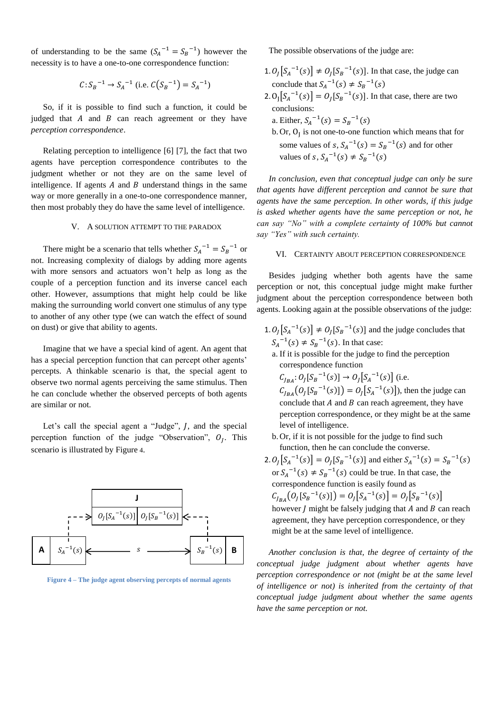of understanding to be the same  $(S_A^{-1} = S_B^{-1})$  however the necessity is to have a one-to-one correspondence function:

$$
C: S_B^{-1} \rightarrow S_A^{-1}
$$
 (i.e.  $C(S_B^{-1}) = S_A^{-1}$ )

So, if it is possible to find such a function, it could be judged that  $A$  and  $B$  can reach agreement or they have *perception correspondence*.

Relating perception to intelligence [6] [7], the fact that two agents have perception correspondence contributes to the judgment whether or not they are on the same level of intelligence. If agents  $A$  and  $B$  understand things in the same way or more generally in a one-to-one correspondence manner, then most probably they do have the same level of intelligence.

# V. A SOLUTION ATTEMPT TO THE PARADOX

There might be a scenario that tells whether  $S_A^{-1} = S_B^{-1}$  or not. Increasing complexity of dialogs by adding more agents with more sensors and actuators won't help as long as the couple of a perception function and its inverse cancel each other. However, assumptions that might help could be like making the surrounding world convert one stimulus of any type to another of any other type (we can watch the effect of sound on dust) or give that ability to agents.

Imagine that we have a special kind of agent. An agent that has a special perception function that can percept other agents' percepts. A thinkable scenario is that, the special agent to observe two normal agents perceiving the same stimulus. Then he can conclude whether the observed percepts of both agents are similar or not.

Let's call the special agent a "Judge",  $J$ , and the special perception function of the judge "Observation",  $O<sub>I</sub>$ . This scenario is illustrated b[y Figure](#page-3-0) 4.



<span id="page-3-0"></span>**Figure 4 – The judge agent observing percepts of normal agents**

The possible observations of the judge are:

- 1.  $O_I[S_A^{-1}(s)] \neq O_I[S_B^{-1}(s)]$ . In that case, the judge can conclude that  $S_A^{-1}(s) \neq S_B^{-1}(s)$
- 2.  $O_{I}[S_{A}^{-1}(s)] = O_{I}[S_{B}^{-1}(s)]$ . In that case, there are two conclusions:
	- a. Either,  $S_A^{-1}(s) = S_B^{-1}(s)$

b. Or,  $O_I$  is not one-to-one function which means that for some values of  $s, S_A^{-1}(s) = S_B^{-1}(s)$  and for other values of s,  $S_A^{-1}(s) \neq S_B^{-1}(s)$ 

*In conclusion, even that conceptual judge can only be sure that agents have different perception and cannot be sure that agents have the same perception. In other words, if this judge is asked whether agents have the same perception or not, he can say "No" with a complete certainty of 100% but cannot* say "Yes" with such certainty.

#### VI. CERTAINTY ABOUT PERCEPTION CORRESPONDENCE

Besides judging whether both agents have the same perception or not, this conceptual judge might make further judgment about the perception correspondence between both agents. Looking again at the possible observations of the judge:

- 1.  $O_I[S_A^{-1}(s)] \neq O_I[S_B^{-1}(s)]$  and the judge concludes that  $S_A^{-1}(s) \neq S_B^{-1}(s)$ . In that case:
	- a. If it is possible for the judge to find the perception correspondence function

 $C_{I_{BA}}: O_I[S_B^{-1}(s)] \rightarrow O_I[S_A^{-1}(s)]$  (i.e.  $C_{I_{BA}}(O_I[S_B^{-1}(s)]) = O_I[S_A^{-1}(s)]$ , then the judge can conclude that  $A$  and  $B$  can reach agreement, they have perception correspondence, or they might be at the same level of intelligence.

- b. Or, if it is not possible for the judge to find such function, then he can conclude the converse.
- 2.  $O_I[S_A^{-1}(s)] = O_I[S_B^{-1}(s)]$  and either  $S_A^{-1}(s) = S_B^{-1}(s)$ or  $S_A^{-1}(s) \neq S_B^{-1}(s)$  could be true. In that case, the correspondence function is easily found as  $C_{I_{BA}}(O_I[S_B^{-1}(s)]) = O_I[S_A^{-1}(s)] = O_I[S_B^{-1}(s)]$

however  $J$  might be falsely judging that  $A$  and  $B$  can reach agreement, they have perception correspondence, or they might be at the same level of intelligence.

*Another conclusion is that, the degree of certainty of the conceptual judge judgment about whether agents have perception correspondence or not (might be at the same level of intelligence or not) is inherited from the certainty of that conceptual judge judgment about whether the same agents have the same perception or not.*